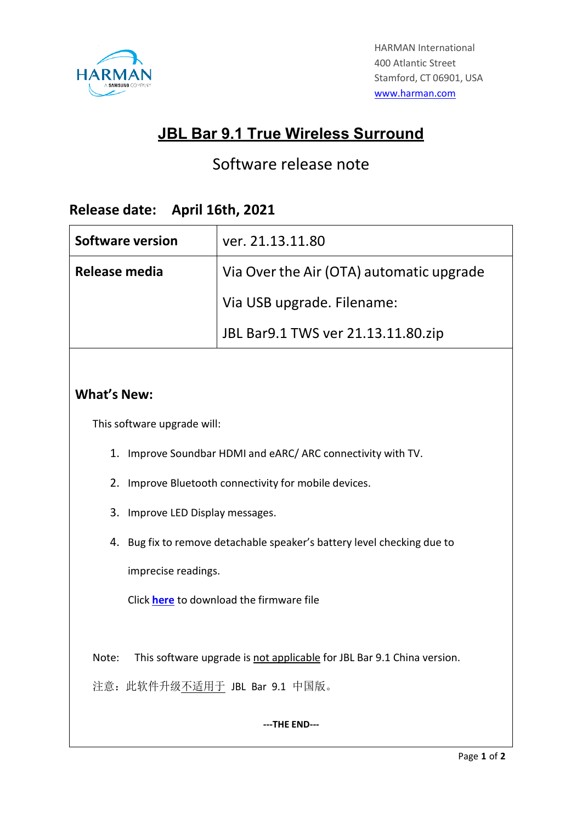

# **JBL Bar 9.1 True Wireless Surround**

# Software release note

### **Release date: April 16th, 2021**

| <b>Software version</b> | ver. 21.13.11.80                         |
|-------------------------|------------------------------------------|
| Release media           | Via Over the Air (OTA) automatic upgrade |
|                         | Via USB upgrade. Filename:               |
|                         | JBL Bar9.1 TWS ver 21.13.11.80.zip       |

### **What's New:**

This software upgrade will:

- 1. Improve Soundbar HDMI and eARC/ ARC connectivity with TV.
- 2. Improve Bluetooth connectivity for mobile devices.
- 3. Improve LED Display messages.
- 4. Bug fix to remove detachable speaker's battery level checking due to

imprecise readings.

Click **[here](https://harman.widen.net/s/hm2bjzgmxt/firmware_update_jbl_bar_9.1_tws_version_21.13.11.80)** to download the firmware file

Note: This software upgrade is not applicable for JBL Bar 9.1 China version.

注意: 此软件升级不适用于 JBL Bar 9.1 中国版。

#### **---THE END---**